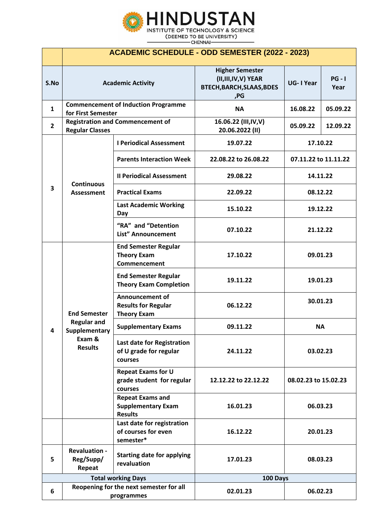

- CHENNAI-

|                           | <b>ACADEMIC SCHEDULE - ODD SEMESTER (2022 - 2023)</b>                                  |                                                                            |                                                                                         |                      |                  |  |  |
|---------------------------|----------------------------------------------------------------------------------------|----------------------------------------------------------------------------|-----------------------------------------------------------------------------------------|----------------------|------------------|--|--|
| S.No                      |                                                                                        | <b>Academic Activity</b>                                                   | <b>Higher Semester</b><br>(II,III,IV,V) YEAR<br><b>BTECH, BARCH, SLAAS, BDES</b><br>,PG | <b>UG-I Year</b>     | $PG - I$<br>Year |  |  |
| $\mathbf{1}$              | <b>Commencement of Induction Programme</b><br>for First Semester                       |                                                                            | <b>NA</b>                                                                               | 16.08.22             | 05.09.22         |  |  |
| $\mathbf{2}$              | <b>Registration and Commencement of</b><br><b>Regular Classes</b>                      |                                                                            | 16.06.22 (III, IV, V)<br>20.06.2022 (II)                                                | 05.09.22             | 12.09.22         |  |  |
| $\mathbf{3}$              | <b>Continuous</b><br><b>Assessment</b>                                                 | <b>I Periodical Assessment</b>                                             | 19.07.22                                                                                | 17.10.22             |                  |  |  |
|                           |                                                                                        | <b>Parents Interaction Week</b>                                            | 22.08.22 to 26.08.22                                                                    | 07.11.22 to 11.11.22 |                  |  |  |
|                           |                                                                                        | <b>Il Periodical Assessment</b>                                            | 29.08.22                                                                                | 14.11.22             |                  |  |  |
|                           |                                                                                        | <b>Practical Exams</b>                                                     | 22.09.22                                                                                | 08.12.22             |                  |  |  |
|                           |                                                                                        | <b>Last Academic Working</b><br>Day                                        | 15.10.22                                                                                | 19.12.22             |                  |  |  |
|                           |                                                                                        | "RA" and "Detention<br>List" Announcement                                  | 07.10.22                                                                                | 21.12.22             |                  |  |  |
| 4                         | <b>End Semester</b><br><b>Regular and</b><br>Supplementary<br>Exam &<br><b>Results</b> | <b>End Semester Regular</b><br><b>Theory Exam</b><br>Commencement          | 17.10.22                                                                                | 09.01.23             |                  |  |  |
|                           |                                                                                        | <b>End Semester Regular</b><br><b>Theory Exam Completion</b>               | 19.11.22                                                                                | 19.01.23             |                  |  |  |
|                           |                                                                                        | <b>Announcement of</b><br><b>Results for Regular</b><br><b>Theory Exam</b> | 06.12.22                                                                                | 30.01.23             |                  |  |  |
|                           |                                                                                        | <b>Supplementary Exams</b>                                                 | 09.11.22                                                                                | <b>NA</b>            |                  |  |  |
|                           |                                                                                        | Last date for Registration<br>of U grade for regular<br>courses            | 24.11.22                                                                                | 03.02.23             |                  |  |  |
|                           |                                                                                        | <b>Repeat Exams for U</b><br>grade student for regular<br>courses          | 12.12.22 to 22.12.22                                                                    | 08.02.23 to 15.02.23 |                  |  |  |
|                           |                                                                                        | <b>Repeat Exams and</b><br><b>Supplementary Exam</b><br><b>Results</b>     | 16.01.23                                                                                | 06.03.23             |                  |  |  |
|                           |                                                                                        | Last date for registration<br>of courses for even<br>semester*             | 16.12.22                                                                                | 20.01.23             |                  |  |  |
| 5                         | <b>Revaluation -</b><br>Reg/Supp/<br>Repeat                                            | <b>Starting date for applying</b><br>revaluation                           | 17.01.23                                                                                | 08.03.23             |                  |  |  |
| <b>Total working Days</b> |                                                                                        |                                                                            | 100 Days                                                                                |                      |                  |  |  |
| 6                         | Reopening for the next semester for all<br>programmes                                  |                                                                            | 02.01.23                                                                                | 06.02.23             |                  |  |  |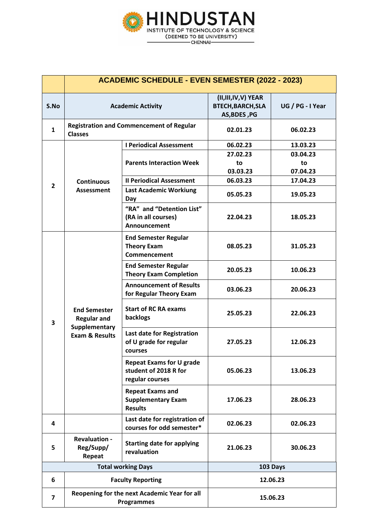

|                           | <b>ACADEMIC SCHEDULE - EVEN SEMESTER (2022 - 2023)</b>                                  |                                                                             |                                                                |                  |  |  |  |
|---------------------------|-----------------------------------------------------------------------------------------|-----------------------------------------------------------------------------|----------------------------------------------------------------|------------------|--|--|--|
| S.No                      | <b>Academic Activity</b>                                                                |                                                                             | (II,III,IV,V) YEAR<br><b>BTECH, BARCH, SLA</b><br>AS, BDES, PG | UG / PG - I Year |  |  |  |
| $\mathbf{1}$              | <b>Registration and Commencement of Regular</b><br><b>Classes</b>                       |                                                                             | 02.01.23                                                       | 06.02.23         |  |  |  |
|                           | <b>Continuous</b><br><b>Assessment</b>                                                  | <b>I Periodical Assessment</b>                                              | 06.02.23                                                       | 13.03.23         |  |  |  |
|                           |                                                                                         | <b>Parents Interaction Week</b>                                             | 27.02.23                                                       | 03.04.23         |  |  |  |
|                           |                                                                                         |                                                                             | to                                                             | to               |  |  |  |
|                           |                                                                                         |                                                                             | 03.03.23                                                       | 07.04.23         |  |  |  |
| $\overline{2}$            |                                                                                         | <b>Il Periodical Assessment</b>                                             | 06.03.23                                                       | 17.04.23         |  |  |  |
|                           |                                                                                         | <b>Last Academic Workiung</b><br>Day                                        | 05.05.23                                                       | 19.05.23         |  |  |  |
|                           |                                                                                         | "RA" and "Detention List"<br>(RA in all courses)<br>Announcement            | 22.04.23                                                       | 18.05.23         |  |  |  |
|                           | <b>End Semester</b><br><b>Regular and</b><br>Supplementary<br><b>Exam &amp; Results</b> | <b>End Semester Regular</b><br><b>Theory Exam</b><br>Commencement           | 08.05.23                                                       | 31.05.23         |  |  |  |
|                           |                                                                                         | <b>End Semester Regular</b><br><b>Theory Exam Completion</b>                | 20.05.23                                                       | 10.06.23         |  |  |  |
|                           |                                                                                         | <b>Announcement of Results</b><br>for Regular Theory Exam                   | 03.06.23                                                       | 20.06.23         |  |  |  |
| $\overline{\mathbf{3}}$   |                                                                                         | <b>Start of RC RA exams</b><br>backlogs                                     | 25.05.23                                                       | 22.06.23         |  |  |  |
|                           |                                                                                         | Last date for Registration<br>of U grade for regular<br>courses             | 27.05.23                                                       | 12.06.23         |  |  |  |
|                           |                                                                                         | <b>Repeat Exams for U grade</b><br>student of 2018 R for<br>regular courses | 05.06.23                                                       | 13.06.23         |  |  |  |
|                           |                                                                                         | <b>Repeat Exams and</b><br><b>Supplementary Exam</b><br><b>Results</b>      | 17.06.23                                                       | 28.06.23         |  |  |  |
| 4                         |                                                                                         | Last date for registration of<br>courses for odd semester*                  | 02.06.23                                                       | 02.06.23         |  |  |  |
| 5                         | <b>Revaluation -</b><br>Reg/Supp/<br>Repeat                                             | <b>Starting date for applying</b><br>revaluation                            | 21.06.23                                                       | 30.06.23         |  |  |  |
| <b>Total working Days</b> |                                                                                         |                                                                             | 103 Days                                                       |                  |  |  |  |
| 6                         |                                                                                         | <b>Faculty Reporting</b>                                                    | 12.06.23                                                       |                  |  |  |  |
| 7                         |                                                                                         | Reopening for the next Academic Year for all<br>Programmes                  | 15.06.23                                                       |                  |  |  |  |